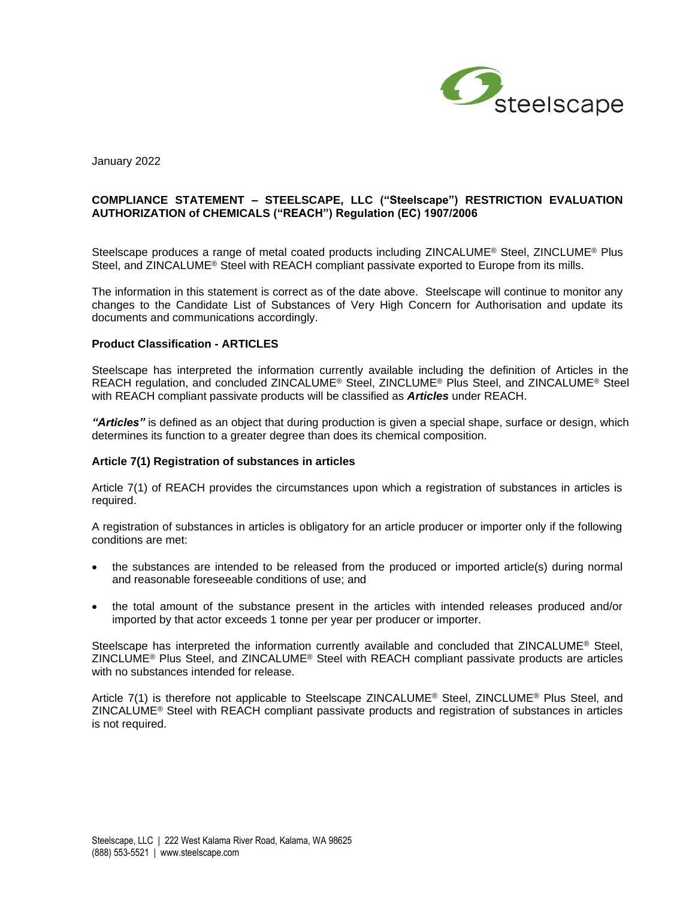

January 2022

## **COMPLIANCE STATEMENT – STEELSCAPE, LLC ("Steelscape") RESTRICTION EVALUATION AUTHORIZATION of CHEMICALS ("REACH") Regulation (EC) 1907/2006**

Steelscape produces a range of metal coated products including ZINCALUME<sup>®</sup> Steel, ZINCLUME<sup>®</sup> Plus Steel, and ZINCALUME<sup>®</sup> Steel with REACH compliant passivate exported to Europe from its mills.

The information in this statement is correct as of the date above. Steelscape will continue to monitor any changes to the Candidate List of Substances of Very High Concern for Authorisation and update its documents and communications accordingly.

#### **Product Classification - ARTICLES**

Steelscape has interpreted the information currently available including the definition of Articles in the REACH regulation, and concluded ZINCALUME® Steel, ZINCLUME® Plus Steel, and ZINCALUME® Steel with REACH compliant passivate products will be classified as *Articles* under REACH.

*"Articles"* is defined as an object that during production is given a special shape, surface or design, which determines its function to a greater degree than does its chemical composition.

# **Article 7(1) Registration of substances in articles**

Article 7(1) of REACH provides the circumstances upon which a registration of substances in articles is required.

A registration of substances in articles is obligatory for an article producer or importer only if the following conditions are met:

- the substances are intended to be released from the produced or imported article(s) during normal and reasonable foreseeable conditions of use; and
- the total amount of the substance present in the articles with intended releases produced and/or imported by that actor exceeds 1 tonne per year per producer or importer.

Steelscape has interpreted the information currently available and concluded that ZINCALUME® Steel, ZINCLUME® Plus Steel, and ZINCALUME® Steel with REACH compliant passivate products are articles with no substances intended for release.

Article 7(1) is therefore not applicable to Steelscape ZINCALUME® Steel, ZINCLUME® Plus Steel, and ZINCALUME® Steel with REACH compliant passivate products and registration of substances in articles is not required.